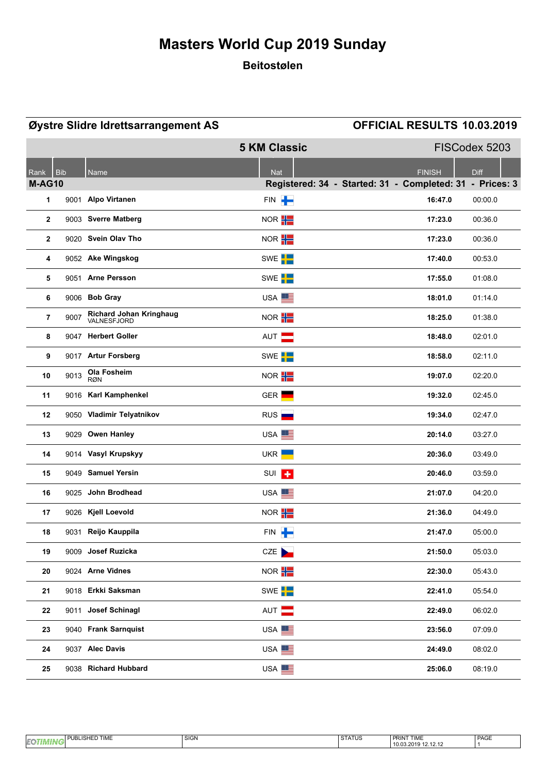### **Beitostølen**

|               |            | Øystre Slidre Idrettsarrangement AS    |                     | OFFICIAL RESULTS 10.03.2019                              |
|---------------|------------|----------------------------------------|---------------------|----------------------------------------------------------|
|               |            |                                        | <b>5 KM Classic</b> | FISCodex 5203                                            |
| Rank          | <b>Bib</b> | Name                                   | <b>Nat</b>          | <b>FINISH</b><br><b>Diff</b>                             |
| <b>M-AG10</b> |            |                                        |                     | Registered: 34 - Started: 31 - Completed: 31 - Prices: 3 |
| 1             |            | 9001 Alpo Virtanen                     | FIN <sup>-</sup>    | 16:47.0<br>00:00.0                                       |
| $\mathbf{2}$  |            | 9003 Sverre Matberg                    | NOR <sup>H</sup>    | 17:23.0<br>00:36.0                                       |
| $\mathbf{2}$  |            | 9020 Svein Olav Tho                    | NOR H               | 17:23.0<br>00:36.0                                       |
| 4             |            | 9052 Ake Wingskog                      | SWE <sup>L</sup>    | 17:40.0<br>00:53.0                                       |
| 5             |            | 9051 Arne Persson                      | SWE <sup>I</sup>    | 17:55.0<br>01:08.0                                       |
| 6             |            | 9006 Bob Gray                          | USA <sup>EE</sup>   | 18:01.0<br>01:14.0                                       |
| 7             | 9007       | Richard Johan Kringhaug<br>VALNESFJORD | NOR <sup>H</sup>    | 18:25.0<br>01:38.0                                       |
| 8             |            | 9047 Herbert Goller                    | AUT <b>N</b>        | 02:01.0<br>18:48.0                                       |
| 9             |            | 9017 Artur Forsberg                    | SWE <sup>I</sup>    | 18:58.0<br>02:11.0                                       |
| 10            | 9013       | Ola Fosheim<br><b>RØN</b>              | NOR <b>H</b>        | 19:07.0<br>02:20.0                                       |
| 11            |            | 9016 Karl Kamphenkel                   | GER <sup>L</sup>    | 19:32.0<br>02:45.0                                       |
| 12            |            | 9050 Vladimir Telyatnikov              | RUS                 | 19:34.0<br>02:47.0                                       |
| 13            |            | 9029 Owen Hanley                       | USA <sup>EE</sup>   | 20:14.0<br>03:27.0                                       |
| 14            |            | 9014 Vasyl Krupskyy                    | UKR <b> </b>        | 20:36.0<br>03:49.0                                       |
| 15            |            | 9049 Samuel Yersin                     | SUI <sup>T</sup>    | 20:46.0<br>03:59.0                                       |
| 16            |            | 9025 John Brodhead                     | USA <sup>EE</sup>   | 21:07.0<br>04.20.0                                       |
| 17            |            | 9026 Kjell Loevold                     | NOR <sup>H</sup>    | 21:36.0<br>04:49.0                                       |
| 18            |            | 9031 Reijo Kauppila                    | FIN <b> </b>        | 21:47.0<br>05:00.0                                       |
| 19            |            | 9009 Josef Ruzicka                     | CZE                 | 21:50.0<br>05.03.0                                       |
| 20            |            | 9024 Arne Vidnes                       | NOR <b>H</b>        | 22:30.0<br>05:43.0                                       |
| 21            |            | 9018 Erkki Saksman                     | SWE <sup>I</sup>    | 22:41.0<br>05:54.0                                       |
| 22            |            | 9011 Josef Schinagl                    | AUT <b>EXECUTE</b>  | 22:49.0<br>06.02.0                                       |
| 23            |            | 9040 Frank Sarnquist                   | USA <sup>EE</sup>   | 23:56.0<br>07.09.0                                       |
| 24            |            | 9037 Alec Davis                        | USA <sup>EE</sup>   | 24:49.0<br>08:02.0                                       |
| 25            |            | 9038 Richard Hubbard                   | USA <sup>EE</sup>   | 25:06.0<br>08.19.0                                       |

|    | <b>TIME</b><br><b>D</b><br>$\overline{\phantom{0}}$<br>ιв.<br>--<br>, اس<br>- | SIGN | 2T110<br>$\sim$<br>1 3 1 A 1 U 3 | PRINT TIME                                               | PAGE |
|----|-------------------------------------------------------------------------------|------|----------------------------------|----------------------------------------------------------|------|
| EQ |                                                                               |      |                                  | . .<br>$\sim$ $\sim$<br>10.03.2019<br><br>L.L. I.L. I.L. |      |
|    |                                                                               |      |                                  |                                                          |      |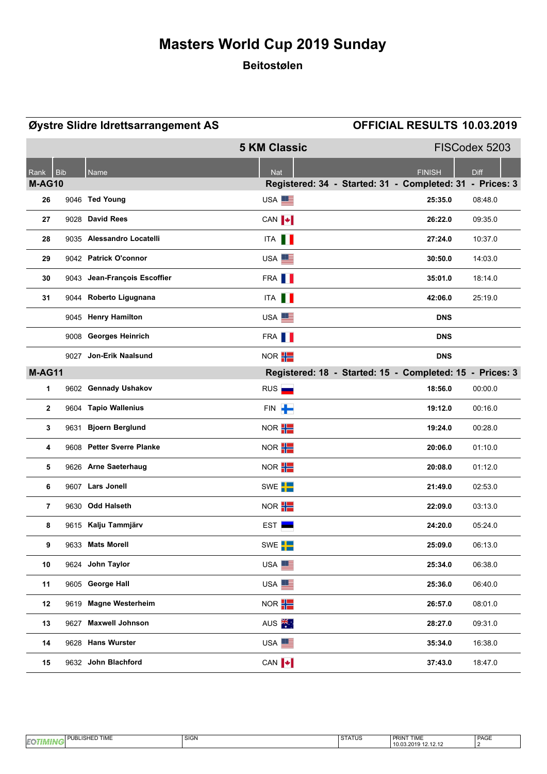### **Beitostølen**

|               |            | Øystre Slidre Idrettsarrangement AS |                           | OFFICIAL RESULTS 10.03.2019                              |
|---------------|------------|-------------------------------------|---------------------------|----------------------------------------------------------|
|               |            |                                     | <b>5 KM Classic</b>       | FISCodex 5203                                            |
| Rank          | <b>Bib</b> | Name                                | <b>Nat</b>                | <b>FINISH</b><br><b>Diff</b>                             |
| <b>M-AG10</b> |            |                                     |                           | Registered: 34 - Started: 31 - Completed: 31 - Prices: 3 |
| 26            |            | 9046 Ted Young                      | USA <sup>E</sup>          | 25:35.0<br>08:48.0                                       |
| 27            |            | 9028 David Rees                     | CAN $\blacktriangleright$ | 26:22.0<br>09:35.0                                       |
| 28            |            | 9035 Alessandro Locatelli           | ITA <b>II</b>             | 27:24.0<br>10:37.0                                       |
| 29            |            | 9042 Patrick O'connor               | USA <sup>E</sup>          | 30:50.0<br>14:03.0                                       |
| 30            |            | 9043 Jean-François Escoffier        | FRA <b>I</b>              | 35:01.0<br>18:14.0                                       |
| 31            |            | 9044 Roberto Ligugnana              | ITA <b>II</b>             | 42:06.0<br>25:19.0                                       |
|               |            | 9045 Henry Hamilton                 | USA <sup>E</sup>          | <b>DNS</b>                                               |
|               |            | 9008 Georges Heinrich               | FRA <b>II</b>             | <b>DNS</b>                                               |
|               |            | 9027 Jon-Erik Naalsund              | NOR <b>H</b>              | <b>DNS</b>                                               |
| <b>M-AG11</b> |            |                                     |                           | Registered: 18 - Started: 15 - Completed: 15 - Prices: 3 |
| $\mathbf{1}$  |            | 9602 Gennady Ushakov                | RUS <sub>I</sub>          | 18:56.0<br>00:00.0                                       |
| $\mathbf{2}$  |            | 9604 Tapio Wallenius                | FIN P                     | 19:12.0<br>00:16.0                                       |
| 3             |            | 9631 Bjoern Berglund                | NOR <b>H</b>              | 19:24.0<br>00:28.0                                       |
| 4             |            | 9608 Petter Sverre Planke           | NOR H                     | 20:06.0<br>01:10.0                                       |
| 5             |            | 9626 Arne Saeterhaug                | NOR <b>H</b>              | 20:08.0<br>01:12.0                                       |
| 6             |            | 9607 Lars Jonell                    | SWE <sup>L</sup>          | 21:49.0<br>02:53.0                                       |
| 7             |            | 9630 Odd Halseth                    | NOR <b>H</b>              | 22:09.0<br>03:13.0                                       |
| 8             |            | 9615 Kalju Tammjärv                 | $EST \equiv$              | 24:20.0<br>05:24.0                                       |
| 9             |            | 9633 Mats Morell                    | SWE <sup>L</sup>          | 25:09.0<br>06:13.0                                       |
| 10            |            | 9624 John Taylor                    | USA <sup>EE</sup>         | 25:34.0<br>06:38.0                                       |
| 11            |            | 9605 George Hall                    | USA <sup>E</sup>          | 25:36.0<br>06:40.0                                       |
| 12            |            | 9619 Magne Westerheim               | NOR $\frac{1}{1}$         | 26:57.0<br>08:01.0                                       |
| 13            |            | 9627 Maxwell Johnson                | AUS <sup>X</sup>          | 28:27.0<br>09:31.0                                       |
| 14            |            | 9628 Hans Wurster                   | USA <sup>EE</sup>         | 35:34.0<br>16:38.0                                       |
| 15            |            | 9632 John Blachford                 | CAN $\ \cdot\ $           | 37:43.0<br>18:47.0                                       |

| PAGE<br>SIGN<br><b>PRINT TIME</b><br><b>TIME</b><br>271710<br>-<br>161<br>-<br>ו גוראו פ<br>--<br>.<br>ur s<br>$\overline{\phantom{a}}$ |  |                        |  |
|-----------------------------------------------------------------------------------------------------------------------------------------|--|------------------------|--|
|                                                                                                                                         |  |                        |  |
|                                                                                                                                         |  | 10.03.20<br>14. IA. IA |  |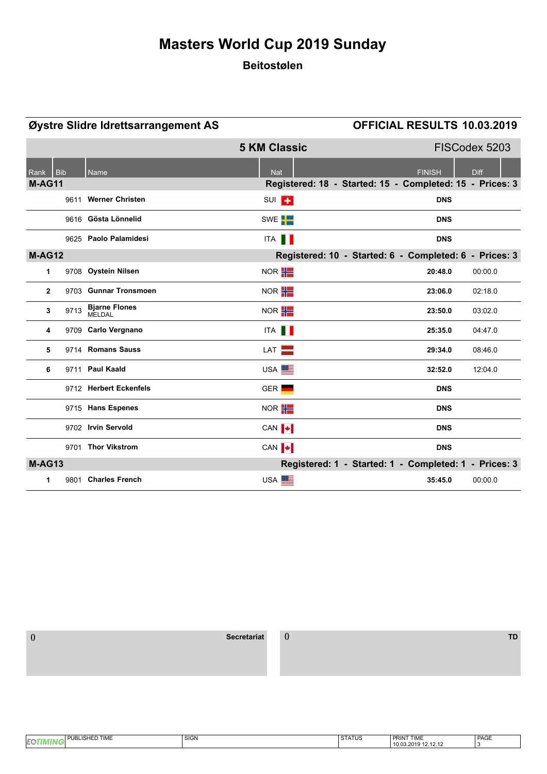### **Beitostølen**

|               |            | Øystre Slidre Idrettsarrangement AS |                           | OFFICIAL RESULTS 10.03.2019                              |         |
|---------------|------------|-------------------------------------|---------------------------|----------------------------------------------------------|---------|
|               |            |                                     | <b>5 KM Classic</b>       | FISCodex 5203                                            |         |
| Rank          | <b>Bib</b> | <b>Name</b>                         | <b>Nat</b>                | <b>FINISH</b><br><b>Diff</b>                             |         |
| <b>M-AG11</b> |            |                                     |                           | Registered: 18 - Started: 15 - Completed: 15 - Prices: 3 |         |
|               |            | 9611 Werner Christen                | SUI <sup>T</sup>          | <b>DNS</b>                                               |         |
|               |            | 9616 Gösta Lönnelid                 | SWE <sup>I</sup>          | <b>DNS</b>                                               |         |
|               |            | 9625 Paolo Palamidesi               | ITA <b>II</b>             | <b>DNS</b>                                               |         |
| <b>M-AG12</b> |            |                                     |                           | Registered: 10 - Started: 6 - Completed: 6 - Prices: 3   |         |
| 1             |            | 9708 Oystein Nilsen                 | NOR <b>H</b>              | 20:48.0                                                  | 00:00.0 |
| $\mathbf{2}$  |            | 9703 Gunnar Tronsmoen               | NOR $\frac{1}{1}$         | 23:06.0                                                  | 02:18.0 |
| 3             | 9713       | <b>Bjarne Flones</b><br>MELDAL      | NOR $\frac{1}{1}$         | 23:50.0                                                  | 03:02.0 |
| 4             |            | 9709 Carlo Vergnano                 | ITA <b>I</b>              | 25:35.0                                                  | 04:47.0 |
| 5             |            | 9714 Romans Sauss                   | LAT <b>EXAMPLE</b>        | 29:34.0                                                  | 08:46.0 |
| 6             |            | 9711 Paul Kaald                     | USA <sup>E</sup>          | 32:52.0                                                  | 12:04.0 |
|               |            | 9712 Herbert Eckenfels              | GER <sup>L</sup>          | <b>DNS</b>                                               |         |
|               |            | 9715 Hans Espenes                   | NOR <b>H</b>              | <b>DNS</b>                                               |         |
|               |            | 9702 Irvin Servold                  | CAN <b>+</b>              | <b>DNS</b>                                               |         |
|               |            | 9701 Thor Vikstrom                  | CAN $\blacktriangleright$ | <b>DNS</b>                                               |         |
| <b>M-AG13</b> |            |                                     |                           | Registered: 1 - Started: 1 - Completed: 1 - Prices: 3    |         |
| 1             |            | 9801 Charles French                 | USA <sup>EE</sup>         | 35:45.0                                                  | 00:00.0 |

 **() Secretariat () TD**

| $-11.1$<br>_ISHF<br>P<br>. .<br>i ime<br>Eo | SIGN | ----<br>SIAIUS | $- -1$<br><b>DDIN</b> <sub>17</sub><br><b>PRIN</b><br>I IME | PAGE |
|---------------------------------------------|------|----------------|-------------------------------------------------------------|------|
| ur v                                        |      |                | 10.03.201<br>14. 14. 14                                     |      |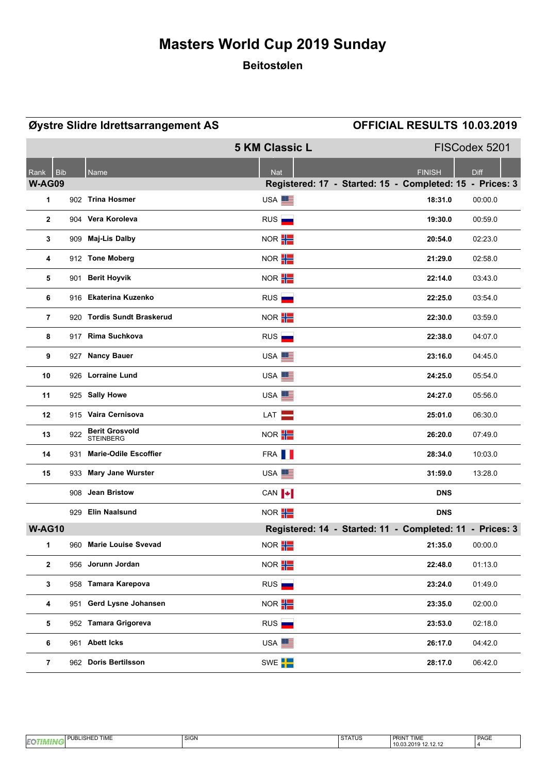### **Beitostølen**

|                                     |     | Øystre Slidre Idrettsarrangement AS       |                       | OFFICIAL RESULTS 10.03.2019                                                              |
|-------------------------------------|-----|-------------------------------------------|-----------------------|------------------------------------------------------------------------------------------|
|                                     |     |                                           | <b>5 KM Classic L</b> | FISCodex 5201                                                                            |
| <b>Bib</b><br>Rank<br><b>W-AG09</b> |     | Name                                      | <b>Nat</b>            | <b>FINISH</b><br><b>Diff</b><br>Registered: 17 - Started: 15 - Completed: 15 - Prices: 3 |
| 1                                   |     | 902 Trina Hosmer                          | USA <sup>EE</sup>     | 18:31.0<br>00:00.0                                                                       |
| $\mathbf{2}$                        |     | 904 Vera Koroleva                         | RUS <sub>I</sub>      | 19:30.0<br>00:59.0                                                                       |
| 3                                   |     | 909 Maj-Lis Dalby                         | NOR <b>H</b>          | 20:54.0<br>02:23.0                                                                       |
| 4                                   |     | 912 Tone Moberg                           | NOR <sup>H</sup>      | 21:29.0<br>02:58.0                                                                       |
| 5                                   |     | 901 Berit Hoyvik                          | NOR <b>H</b>          | 22:14.0<br>03:43.0                                                                       |
| 6                                   |     | 916 Ekaterina Kuzenko                     | RUS <sub>E</sub>      | 22:25.0<br>03:54.0                                                                       |
| $\overline{7}$                      |     | 920 Tordis Sundt Braskerud                | NOR H                 | 22:30.0<br>03:59.0                                                                       |
| 8                                   |     | 917 Rima Suchkova                         | RUS                   | 22:38.0<br>04:07.0                                                                       |
| 9                                   |     | 927 Nancy Bauer                           | USA <sup>EE</sup>     | 23:16.0<br>04:45.0                                                                       |
| 10                                  |     | 926 Lorraine Lund                         | USA <sup>ES</sup>     | 24:25.0<br>05:54.0                                                                       |
| 11                                  |     | 925 Sally Howe                            | USA <sup>EE</sup>     | 24:27.0<br>05:56.0                                                                       |
| 12                                  |     | 915 Vaira Cernisova                       | LAT <b>N</b>          | 25:01.0<br>06:30.0                                                                       |
| 13                                  | 922 | <b>Berit Grosvold</b><br><b>STEINBERG</b> | NOR <sup>H</sup>      | 26:20.0<br>07:49.0                                                                       |
| 14                                  |     | 931 Marie-Odile Escoffier                 | FRA <b>II</b>         | 28:34.0<br>10:03.0                                                                       |
| 15                                  |     | 933 Mary Jane Wurster                     | USA <sup>EE</sup>     | 31:59.0<br>13.28.0                                                                       |
|                                     |     | 908 Jean Bristow                          | CAN   +               | <b>DNS</b>                                                                               |
|                                     |     | 929 Elin Naalsund                         | NOR $\frac{1}{1}$     | <b>DNS</b>                                                                               |
| <b>W-AG10</b>                       |     |                                           |                       | Registered: 14 - Started: 11 - Completed: 11 - Prices: 3                                 |
| 1                                   |     | 960 Marie Louise Svevad                   | NOR <b>H</b>          | 21:35.0<br>00:00.0                                                                       |
| $\mathbf{2}$                        |     | 956 Jorunn Jordan                         | NOR <sup>H</sup>      | 22:48.0<br>01:13.0                                                                       |
| $\mathbf{3}$                        |     | 958 Tamara Karepova                       | RUS <sub>I</sub>      | 23:24.0<br>01:49.0                                                                       |
| 4                                   |     | 951 Gerd Lysne Johansen                   | NOR <b>H</b>          | 23:35.0<br>02:00.0                                                                       |
| 5                                   |     | 952 Tamara Grigoreva                      | RUS <sub>I</sub>      | 23:53.0<br>02:18.0                                                                       |
| 6                                   |     | 961 Abett Icks                            | USA <sup>EE</sup>     | 26:17.0<br>04.42.0                                                                       |
| 7                                   |     | 962 Doris Bertilsson                      | SWE <sup>T</sup>      | 28:17.0<br>06:42.0                                                                       |

| <b>JED TIME</b><br>i Pl<br>۰۱۲<br>יוחס⊢<br>. | <b>SIGN</b> | $\sim$ $\sim$ $\sim$ $\sim$<br>51AIUS | <b>PRINT TIME</b>                                 | PAGE |
|----------------------------------------------|-------------|---------------------------------------|---------------------------------------------------|------|
|                                              |             |                                       | 10.03.2<br>$\overline{\phantom{a}}$<br>14. 14. 14 |      |